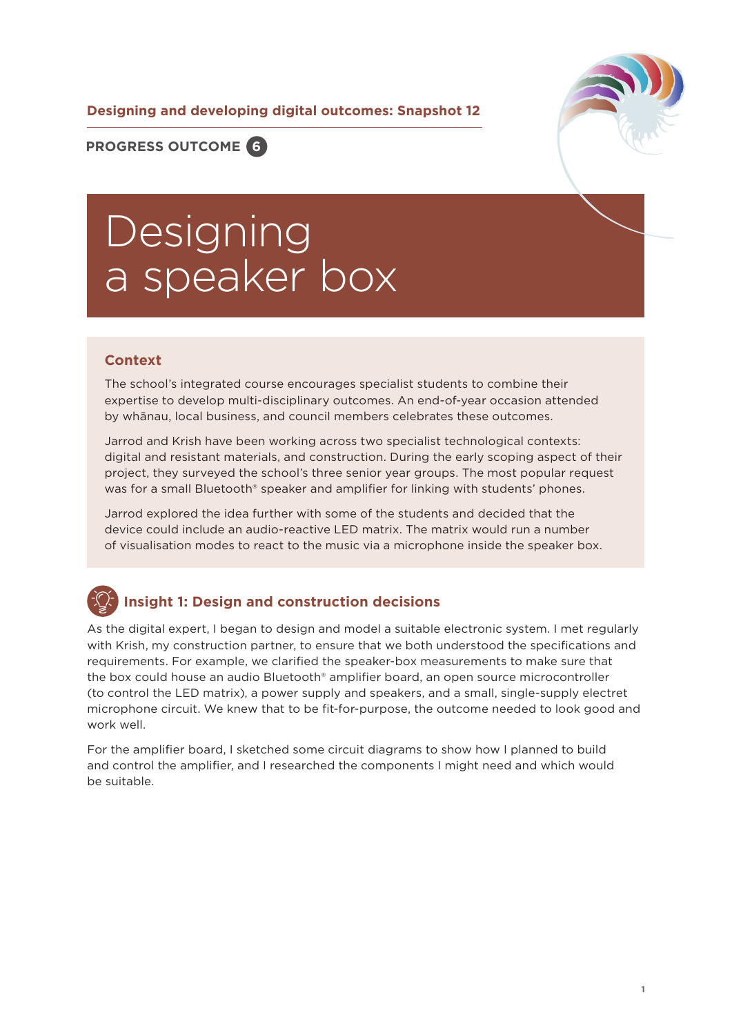#### **Designing and developing digital outcomes: Snapshot 12**



**PROGRESS OUTCOME 6**

# Designing a speaker box

#### **Context**

The school's integrated course encourages specialist students to combine their expertise to develop multi-disciplinary outcomes. An end-of-year occasion attended by whānau, local business, and council members celebrates these outcomes.

Jarrod and Krish have been working across two specialist technological contexts: digital and resistant materials, and construction. During the early scoping aspect of their project, they surveyed the school's three senior year groups. The most popular request was for a small Bluetooth® speaker and amplifier for linking with students' phones.

Jarrod explored the idea further with some of the students and decided that the device could include an audio-reactive LED matrix. The matrix would run a number of visualisation modes to react to the music via a microphone inside the speaker box.

## **Insight 1: Design and construction decisions**

As the digital expert, I began to design and model a suitable electronic system. I met regularly with Krish, my construction partner, to ensure that we both understood the specifications and requirements. For example, we clarified the speaker-box measurements to make sure that the box could house an audio Bluetooth® amplifier board, an open source microcontroller (to control the LED matrix), a power supply and speakers, and a small, single-supply electret microphone circuit. We knew that to be fit-for-purpose, the outcome needed to look good and work well.

For the amplifier board, I sketched some circuit diagrams to show how I planned to build and control the amplifier, and I researched the components I might need and which would be suitable.